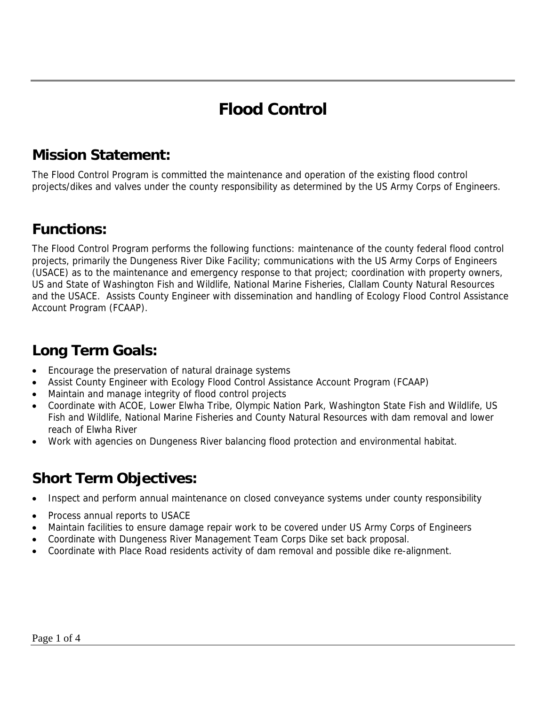# **Flood Control**

## **Mission Statement:**

The Flood Control Program is committed the maintenance and operation of the existing flood control projects/dikes and valves under the county responsibility as determined by the US Army Corps of Engineers.

### **Functions:**

The Flood Control Program performs the following functions: maintenance of the county federal flood control projects, primarily the Dungeness River Dike Facility; communications with the US Army Corps of Engineers (USACE) as to the maintenance and emergency response to that project; coordination with property owners, US and State of Washington Fish and Wildlife, National Marine Fisheries, Clallam County Natural Resources and the USACE. Assists County Engineer with dissemination and handling of Ecology Flood Control Assistance Account Program (FCAAP).

## **Long Term Goals:**

- Encourage the preservation of natural drainage systems
- Assist County Engineer with Ecology Flood Control Assistance Account Program (FCAAP)
- Maintain and manage integrity of flood control projects
- Coordinate with ACOE, Lower Elwha Tribe, Olympic Nation Park, Washington State Fish and Wildlife, US Fish and Wildlife, National Marine Fisheries and County Natural Resources with dam removal and lower reach of Elwha River
- Work with agencies on Dungeness River balancing flood protection and environmental habitat.

# **Short Term Objectives:**

- Inspect and perform annual maintenance on closed conveyance systems under county responsibility
- Process annual reports to USACE
- Maintain facilities to ensure damage repair work to be covered under US Army Corps of Engineers
- Coordinate with Dungeness River Management Team Corps Dike set back proposal.
- Coordinate with Place Road residents activity of dam removal and possible dike re-alignment.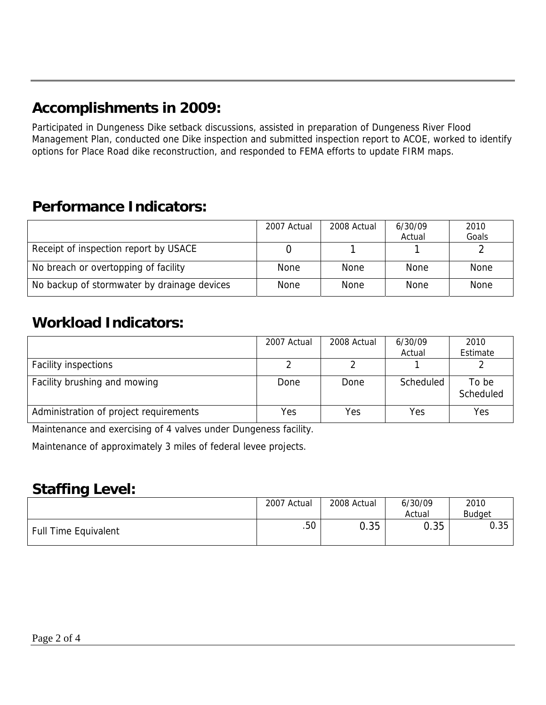# **Accomplishments in 2009:**

Participated in Dungeness Dike setback discussions, assisted in preparation of Dungeness River Flood Management Plan, conducted one Dike inspection and submitted inspection report to ACOE, worked to identify options for Place Road dike reconstruction, and responded to FEMA efforts to update FIRM maps.

# **Performance Indicators:**

|                                             | 2007 Actual | 2008 Actual | 6/30/09     | 2010        |
|---------------------------------------------|-------------|-------------|-------------|-------------|
|                                             |             |             | Actual      | Goals       |
| Receipt of inspection report by USACE       |             |             |             |             |
| No breach or overtopping of facility        | None        | None        | None        | <b>None</b> |
| No backup of stormwater by drainage devices | None        | None        | <b>None</b> | <b>None</b> |

### **Workload Indicators:**

|                                        | 2007 Actual | 2008 Actual | 6/30/09<br>Actual | 2010<br>Estimate   |
|----------------------------------------|-------------|-------------|-------------------|--------------------|
| <b>Facility inspections</b>            |             |             |                   |                    |
| Facility brushing and mowing           | Done        | Done        | Scheduled         | To be<br>Scheduled |
| Administration of project requirements | Yes         | Yes         | Yes               | Yes                |

Maintenance and exercising of 4 valves under Dungeness facility.

Maintenance of approximately 3 miles of federal levee projects.

#### **Staffing Level:**

|                             | 2007 Actual      | 2008 Actual | 6/30/09<br>Actual | 2010<br><b>Budget</b> |
|-----------------------------|------------------|-------------|-------------------|-----------------------|
| <b>Full Time Equivalent</b> | .50 <sub>1</sub> | 0.35        | 0.35              | 0.35                  |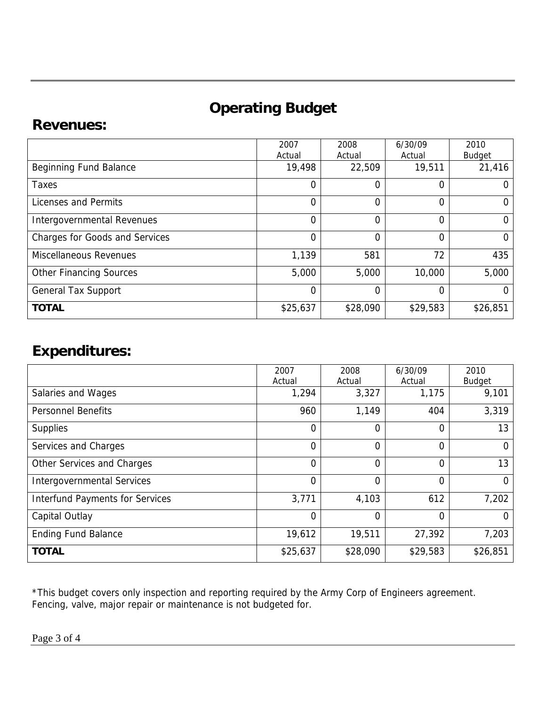# **Operating Budget**

#### **Revenues:**

|                                       | 2007           | 2008     | 6/30/09  | 2010          |
|---------------------------------------|----------------|----------|----------|---------------|
|                                       | Actual         | Actual   | Actual   | Budget        |
| <b>Beginning Fund Balance</b>         | 19,498         | 22,509   | 19,511   | 21,416        |
| Taxes                                 | $\Omega$       | 0        | 0        | $\Omega$      |
| Licenses and Permits                  | $\Omega$       | 0        | 0        | O             |
| <b>Intergovernmental Revenues</b>     | $\Omega$       | 0        | 0        | $\Omega$      |
| <b>Charges for Goods and Services</b> | $\overline{0}$ | 0        | 0        | $\Omega$      |
| <b>Miscellaneous Revenues</b>         | 1,139          | 581      | 72       | 435           |
| <b>Other Financing Sources</b>        | 5,000          | 5,000    | 10,000   | 5,000         |
| <b>General Tax Support</b>            | $\overline{0}$ | 0        | 0        | $\mathcal{O}$ |
| <b>TOTAL</b>                          | \$25,637       | \$28,090 | \$29,583 | \$26,851      |

## **Expenditures:**

|                                        | 2007<br>Actual | 2008<br>Actual | 6/30/09<br>Actual | 2010<br><b>Budget</b> |
|----------------------------------------|----------------|----------------|-------------------|-----------------------|
| Salaries and Wages                     | 1,294          | 3,327          | 1,175             | 9,101                 |
| <b>Personnel Benefits</b>              | 960            | 1,149          | 404               | 3,319                 |
| <b>Supplies</b>                        | 0              | 0              | $\overline{0}$    | 13                    |
| Services and Charges                   | $\overline{0}$ | 0              | $\Omega$          | $\Omega$              |
| Other Services and Charges             | $\overline{0}$ | $\overline{0}$ | $\overline{0}$    | 13                    |
| <b>Intergovernmental Services</b>      | $\overline{0}$ | 0              | $\Omega$          | $\Omega$              |
| <b>Interfund Payments for Services</b> | 3,771          | 4,103          | 612               | 7,202                 |
| Capital Outlay                         | 0              | 0              | $\overline{0}$    | 0                     |
| <b>Ending Fund Balance</b>             | 19,612         | 19,511         | 27,392            | 7,203                 |
| <b>TOTAL</b>                           | \$25,637       | \$28,090       | \$29,583          | \$26,851              |

\*This budget covers only inspection and reporting required by the Army Corp of Engineers agreement. Fencing, valve, major repair or maintenance is not budgeted for.